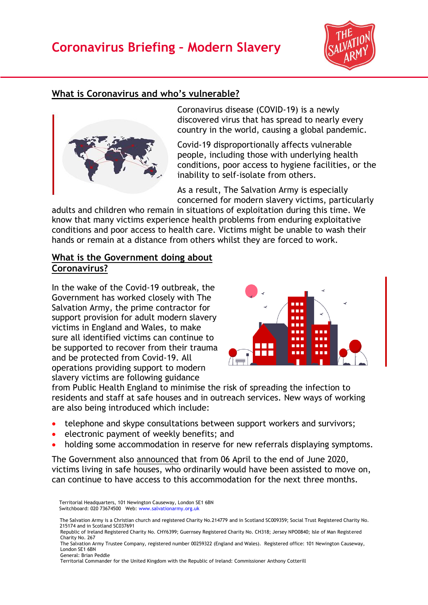# **Coronavirus Briefing – Modern Slavery**



## **What is Coronavirus and who's vulnerable?**



Coronavirus disease (COVID-19) is a newly discovered virus that has spread to nearly every country in the world, causing a global pandemic.

Covid-19 disproportionally affects vulnerable people, including those with underlying health conditions, poor access to hygiene facilities, or the inability to self-isolate from others.

As a result, The Salvation Army is especially concerned for modern slavery victims, particularly

adults and children who remain in situations of exploitation during this time. We know that many victims experience health problems from enduring exploitative conditions and poor access to health care. Victims might be unable to wash their hands or remain at a distance from others whilst they are forced to work.

#### **What is the Government doing about Coronavirus?**

In the wake of the Covid-19 outbreak, the Government has worked closely with The Salvation Army, the prime contractor for support provision for adult modern slavery victims in England and Wales, to make sure all identified victims can continue to be supported to recover from their trauma and be protected from Covid-19. All operations providing support to modern slavery victims are following guidance



from Public Health England to minimise the risk of spreading the infection to residents and staff at safe houses and in outreach services. New ways of working are also being introduced which include:

- telephone and skype consultations between support workers and survivors;
- electronic payment of weekly benefits; and
- holding some accommodation in reserve for new referrals displaying symptoms.

The Government also [announced](https://www.gov.uk/government/news/support-for-modern-slavery-victims-affected-by-coronavirus) that from 06 April to the end of June 2020, victims living in safe houses, who ordinarily would have been assisted to move on, can continue to have access to this accommodation for the next three months.

 Territorial Headquarters, 101 Newington Causeway, London SE1 6BN Switchboard: 020 73674500 Web: [www.salvationarmy.org.uk](http://www.salvationarmy.org.uk/)

- The Salvation Army is a Christian church and registered Charity No.214779 and in Scotland SC009359; Social Trust Registered Charity No. 215174 and in Scotland SC037691
- Republic of Ireland Registered Charity No. CHY6399; Guernsey Registered Charity No. CH318; Jersey NPO0840; Isle of Man Registered Charity No. 267

The Salvation Army Trustee Company, registered number 00259322 (England and Wales). Registered office: 101 Newington Causeway, London SE1 6BN General: Brian Peddle

Territorial Commander for the United Kingdom with the Republic of Ireland: Commissioner Anthony Cotterill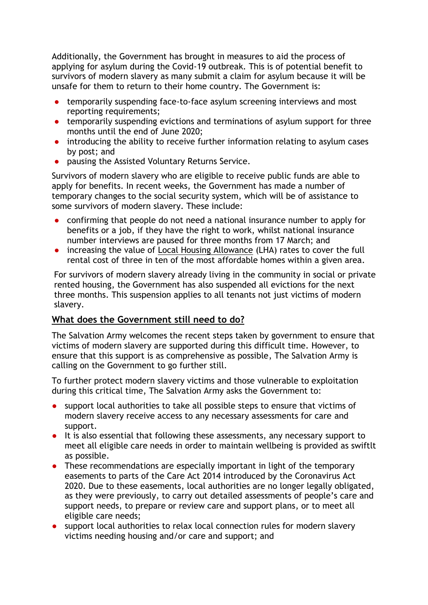Additionally, the Government has brought in measures to aid the process of applying for asylum during the Covid-19 outbreak. This is of potential benefit to survivors of modern slavery as many submit a claim for asylum because it will be unsafe for them to return to their home country. The Government is:

- temporarily suspending face-to-face asylum screening interviews and most reporting requirements;
- temporarily suspending evictions and terminations of asylum support for three months until the end of June 2020;
- introducing the ability to receive further information relating to asylum cases by post; and
- pausing the Assisted Voluntary Returns Service.

Survivors of modern slavery who are eligible to receive public funds are able to apply for benefits. In recent weeks, the Government has made a number of temporary changes to the social security system, which will be of assistance to some survivors of modern slavery. These include:

- confirming that people do not need a national insurance number to apply for benefits or a job, if they have the right to work, whilst national insurance number interviews are paused for three months from 17 March; and
- increasing the value of [Local Housing Allowance](https://www.gov.uk/guidance/local-housing-allowance) (LHA) rates to cover the full rental cost of three in ten of the most affordable homes within a given area.

For survivors of modern slavery already living in the community in social or private rented housing, the Government has also suspended all evictions for the next three months. This suspension applies to all tenants not just victims of modern slavery.

## **What does the Government still need to do?**

The Salvation Army welcomes the recent steps taken by government to ensure that victims of modern slavery are supported during this difficult time. However, to ensure that this support is as comprehensive as possible, The Salvation Army is calling on the Government to go further still.

To further protect modern slavery victims and those vulnerable to exploitation during this critical time, The Salvation Army asks the Government to:

- support local authorities to take all possible steps to ensure that victims of modern slavery receive access to any necessary assessments for care and support.
- It is also essential that following these assessments, any necessary support to meet all eligible care needs in order to maintain wellbeing is provided as swiftlt as possible.
- These recommendations are especially important in light of the temporary easements to parts of the Care Act 2014 introduced by the Coronavirus Act 2020. Due to these easements, local authorities are no longer legally obligated, as they were previously, to carry out detailed assessments of people's care and support needs, to prepare or review care and support plans, or to meet all eligible care needs;
- support local authorities to relax local connection rules for modern slavery victims needing housing and/or care and support; and